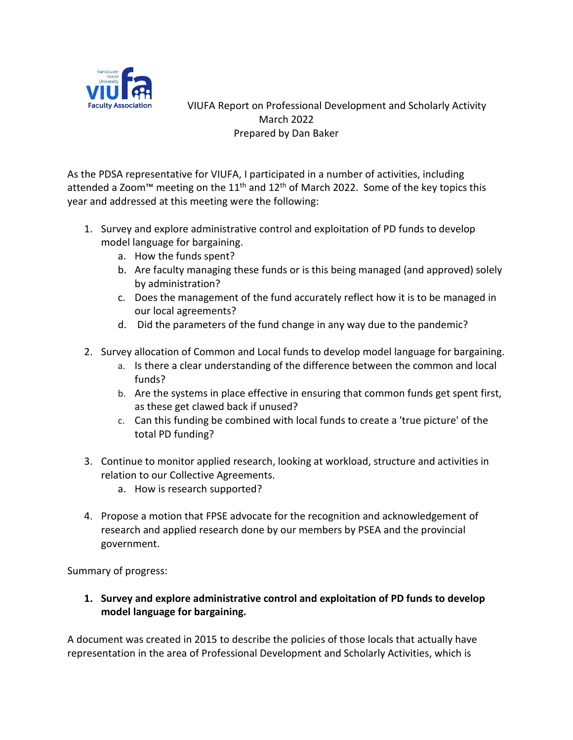

 VIUFA Report on Professional Development and Scholarly Activity March 2022 Prepared by Dan Baker

As the PDSA representative for VIUFA, I participated in a number of activities, including attended a Zoom<sup>™</sup> meeting on the 11<sup>th</sup> and 12<sup>th</sup> of March 2022. Some of the key topics this year and addressed at this meeting were the following:

- 1. Survey and explore administrative control and exploitation of PD funds to develop model language for bargaining.
	- a. How the funds spent?
	- b. Are faculty managing these funds or is this being managed (and approved) solely by administration?
	- c. Does the management of the fund accurately reflect how it is to be managed in our local agreements?
	- d. Did the parameters of the fund change in any way due to the pandemic?
- 2. Survey allocation of Common and Local funds to develop model language for bargaining.
	- a. Is there a clear understanding of the difference between the common and local funds?
	- b. Are the systems in place effective in ensuring that common funds get spent first, as these get clawed back if unused?
	- c. Can this funding be combined with local funds to create a 'true picture' of the total PD funding?
- 3. Continue to monitor applied research, looking at workload, structure and activities in relation to our Collective Agreements.
	- a. How is research supported?
- 4. Propose a motion that FPSE advocate for the recognition and acknowledgement of research and applied research done by our members by PSEA and the provincial government.

Summary of progress:

**1. Survey and explore administrative control and exploitation of PD funds to develop model language for bargaining.**

A document was created in 2015 to describe the policies of those locals that actually have representation in the area of Professional Development and Scholarly Activities, which is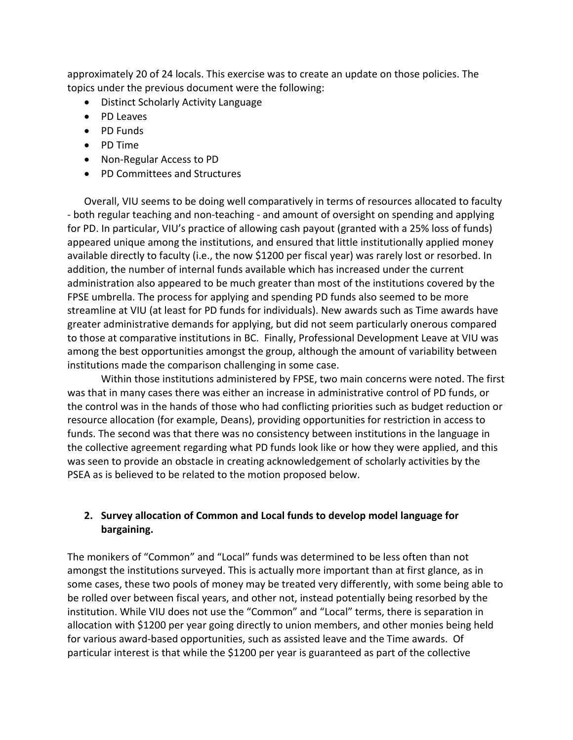approximately 20 of 24 locals. This exercise was to create an update on those policies. The topics under the previous document were the following:

- Distinct Scholarly Activity Language
- PD Leaves
- PD Funds
- PD Time
- Non-Regular Access to PD
- PD Committees and Structures

Overall, VIU seems to be doing well comparatively in terms of resources allocated to faculty - both regular teaching and non-teaching - and amount of oversight on spending and applying for PD. In particular, VIU's practice of allowing cash payout (granted with a 25% loss of funds) appeared unique among the institutions, and ensured that little institutionally applied money available directly to faculty (i.e., the now \$1200 per fiscal year) was rarely lost or resorbed. In addition, the number of internal funds available which has increased under the current administration also appeared to be much greater than most of the institutions covered by the FPSE umbrella. The process for applying and spending PD funds also seemed to be more streamline at VIU (at least for PD funds for individuals). New awards such as Time awards have greater administrative demands for applying, but did not seem particularly onerous compared to those at comparative institutions in BC. Finally, Professional Development Leave at VIU was among the best opportunities amongst the group, although the amount of variability between institutions made the comparison challenging in some case.

Within those institutions administered by FPSE, two main concerns were noted. The first was that in many cases there was either an increase in administrative control of PD funds, or the control was in the hands of those who had conflicting priorities such as budget reduction or resource allocation (for example, Deans), providing opportunities for restriction in access to funds. The second was that there was no consistency between institutions in the language in the collective agreement regarding what PD funds look like or how they were applied, and this was seen to provide an obstacle in creating acknowledgement of scholarly activities by the PSEA as is believed to be related to the motion proposed below.

# **2. Survey allocation of Common and Local funds to develop model language for bargaining.**

The monikers of "Common" and "Local" funds was determined to be less often than not amongst the institutions surveyed. This is actually more important than at first glance, as in some cases, these two pools of money may be treated very differently, with some being able to be rolled over between fiscal years, and other not, instead potentially being resorbed by the institution. While VIU does not use the "Common" and "Local" terms, there is separation in allocation with \$1200 per year going directly to union members, and other monies being held for various award-based opportunities, such as assisted leave and the Time awards. Of particular interest is that while the \$1200 per year is guaranteed as part of the collective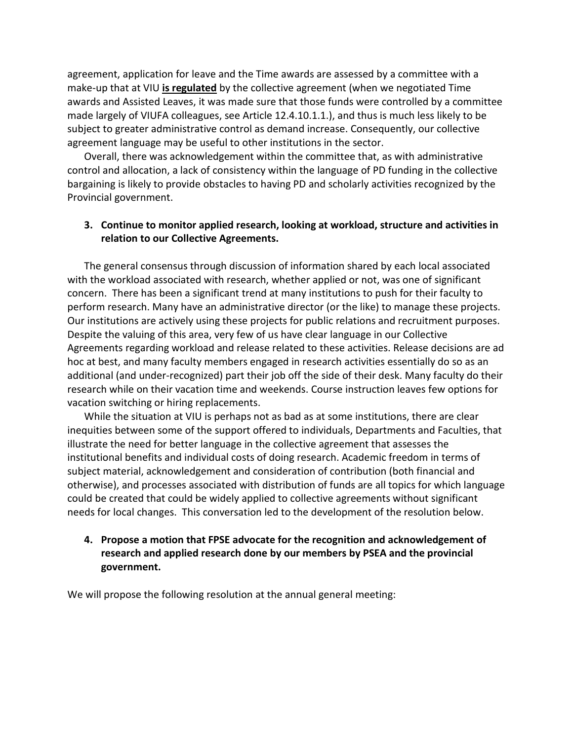agreement, application for leave and the Time awards are assessed by a committee with a make-up that at VIU **is regulated** by the collective agreement (when we negotiated Time awards and Assisted Leaves, it was made sure that those funds were controlled by a committee made largely of VIUFA colleagues, see Article 12.4.10.1.1.), and thus is much less likely to be subject to greater administrative control as demand increase. Consequently, our collective agreement language may be useful to other institutions in the sector.

Overall, there was acknowledgement within the committee that, as with administrative control and allocation, a lack of consistency within the language of PD funding in the collective bargaining is likely to provide obstacles to having PD and scholarly activities recognized by the Provincial government.

# **3. Continue to monitor applied research, looking at workload, structure and activities in relation to our Collective Agreements.**

The general consensus through discussion of information shared by each local associated with the workload associated with research, whether applied or not, was one of significant concern. There has been a significant trend at many institutions to push for their faculty to perform research. Many have an administrative director (or the like) to manage these projects. Our institutions are actively using these projects for public relations and recruitment purposes. Despite the valuing of this area, very few of us have clear language in our Collective Agreements regarding workload and release related to these activities. Release decisions are ad hoc at best, and many faculty members engaged in research activities essentially do so as an additional (and under-recognized) part their job off the side of their desk. Many faculty do their research while on their vacation time and weekends. Course instruction leaves few options for vacation switching or hiring replacements.

While the situation at VIU is perhaps not as bad as at some institutions, there are clear inequities between some of the support offered to individuals, Departments and Faculties, that illustrate the need for better language in the collective agreement that assesses the institutional benefits and individual costs of doing research. Academic freedom in terms of subject material, acknowledgement and consideration of contribution (both financial and otherwise), and processes associated with distribution of funds are all topics for which language could be created that could be widely applied to collective agreements without significant needs for local changes. This conversation led to the development of the resolution below.

# **4. Propose a motion that FPSE advocate for the recognition and acknowledgement of research and applied research done by our members by PSEA and the provincial government.**

We will propose the following resolution at the annual general meeting: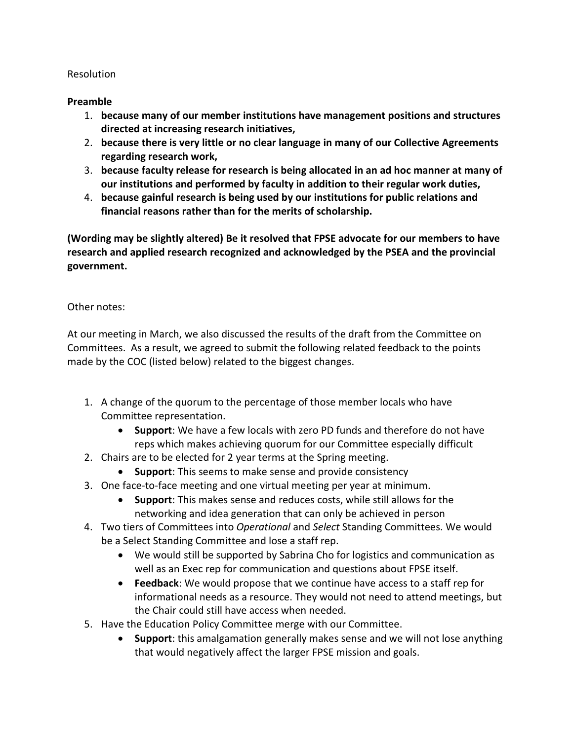### Resolution

# **Preamble**

- 1. **because many of our member institutions have management positions and structures directed at increasing research initiatives,**
- 2. **because there is very little or no clear language in many of our Collective Agreements regarding research work,**
- 3. **because faculty release for research is being allocated in an ad hoc manner at many of our institutions and performed by faculty in addition to their regular work duties,**
- 4. **because gainful research is being used by our institutions for public relations and financial reasons rather than for the merits of scholarship.**

**(Wording may be slightly altered) Be it resolved that FPSE advocate for our members to have research and applied research recognized and acknowledged by the PSEA and the provincial government.**

# Other notes:

At our meeting in March, we also discussed the results of the draft from the Committee on Committees. As a result, we agreed to submit the following related feedback to the points made by the COC (listed below) related to the biggest changes.

- 1. A change of the quorum to the percentage of those member locals who have Committee representation.
	- **Support**: We have a few locals with zero PD funds and therefore do not have reps which makes achieving quorum for our Committee especially difficult
- 2. Chairs are to be elected for 2 year terms at the Spring meeting.
	- **Support**: This seems to make sense and provide consistency
- 3. One face-to-face meeting and one virtual meeting per year at minimum.
	- **Support**: This makes sense and reduces costs, while still allows for the networking and idea generation that can only be achieved in person
- 4. Two tiers of Committees into *Operational* and *Select* Standing Committees. We would be a Select Standing Committee and lose a staff rep.
	- We would still be supported by Sabrina Cho for logistics and communication as well as an Exec rep for communication and questions about FPSE itself.
	- **Feedback**: We would propose that we continue have access to a staff rep for informational needs as a resource. They would not need to attend meetings, but the Chair could still have access when needed.
- 5. Have the Education Policy Committee merge with our Committee.
	- **Support**: this amalgamation generally makes sense and we will not lose anything that would negatively affect the larger FPSE mission and goals.